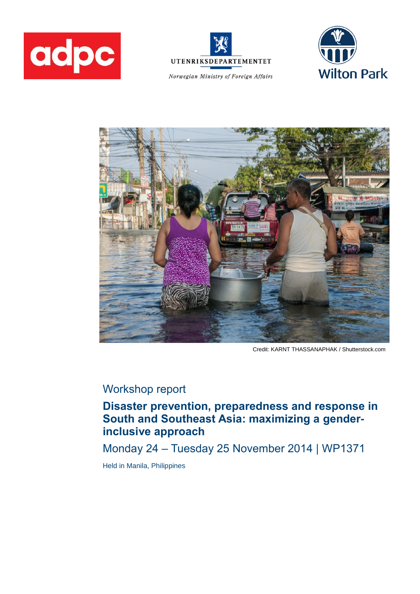



Norwegian Ministry of Foreign Affairs





Credit: KARNT THASSANAPHAK / Shutterstock.com

# Workshop report

**Disaster prevention, preparedness and response in South and Southeast Asia: maximizing a genderinclusive approach**

Monday 24 – Tuesday 25 November 2014 | WP1371

Held in Manila, Philippines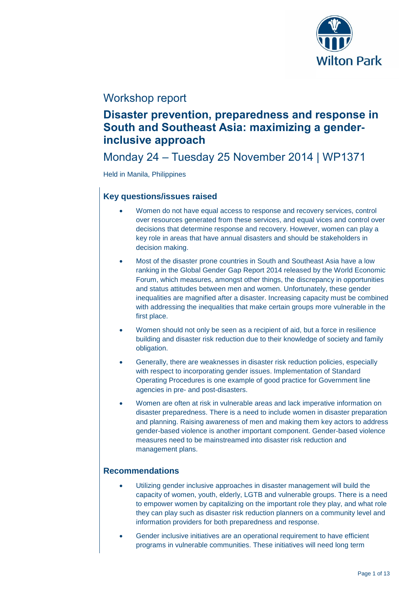

# Workshop report

# **Disaster prevention, preparedness and response in South and Southeast Asia: maximizing a genderinclusive approach**

# Monday 24 – Tuesday 25 November 2014 | WP1371

Held in Manila, Philippines

# **Key questions/issues raised**

- Women do not have equal access to response and recovery services, control over resources generated from these services, and equal vices and control over decisions that determine response and recovery. However, women can play a key role in areas that have annual disasters and should be stakeholders in decision making.
- Most of the disaster prone countries in South and Southeast Asia have a low ranking in the Global Gender Gap Report 2014 released by the World Economic Forum, which measures, amongst other things, the discrepancy in opportunities and status attitudes between men and women. Unfortunately, these gender inequalities are magnified after a disaster. Increasing capacity must be combined with addressing the inequalities that make certain groups more vulnerable in the first place.
- Women should not only be seen as a recipient of aid, but a force in resilience building and disaster risk reduction due to their knowledge of society and family obligation.
- Generally, there are weaknesses in disaster risk reduction policies, especially with respect to incorporating gender issues. Implementation of Standard Operating Procedures is one example of good practice for Government line agencies in pre- and post-disasters.
- Women are often at risk in vulnerable areas and lack imperative information on disaster preparedness. There is a need to include women in disaster preparation and planning. Raising awareness of men and making them key actors to address gender-based violence is another important component. Gender-based violence measures need to be mainstreamed into disaster risk reduction and management plans.

# **Recommendations**

- Utilizing gender inclusive approaches in disaster management will build the capacity of women, youth, elderly, LGTB and vulnerable groups. There is a need to empower women by capitalizing on the important role they play, and what role they can play such as disaster risk reduction planners on a community level and information providers for both preparedness and response.
- Gender inclusive initiatives are an operational requirement to have efficient programs in vulnerable communities. These initiatives will need long term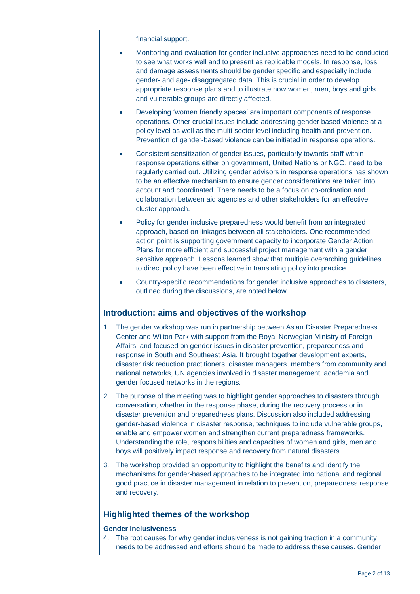financial support.

- Monitoring and evaluation for gender inclusive approaches need to be conducted to see what works well and to present as replicable models. In response, loss and damage assessments should be gender specific and especially include gender- and age- disaggregated data. This is crucial in order to develop appropriate response plans and to illustrate how women, men, boys and girls and vulnerable groups are directly affected.
- Developing 'women friendly spaces' are important components of response operations. Other crucial issues include addressing gender based violence at a policy level as well as the multi-sector level including health and prevention. Prevention of gender-based violence can be initiated in response operations.
- Consistent sensitization of gender issues, particularly towards staff within response operations either on government, United Nations or NGO, need to be regularly carried out. Utilizing gender advisors in response operations has shown to be an effective mechanism to ensure gender considerations are taken into account and coordinated. There needs to be a focus on co-ordination and collaboration between aid agencies and other stakeholders for an effective cluster approach.
- Policy for gender inclusive preparedness would benefit from an integrated approach, based on linkages between all stakeholders. One recommended action point is supporting government capacity to incorporate Gender Action Plans for more efficient and successful project management with a gender sensitive approach. Lessons learned show that multiple overarching guidelines to direct policy have been effective in translating policy into practice.
- Country-specific recommendations for gender inclusive approaches to disasters, outlined during the discussions, are noted below.

# **Introduction: aims and objectives of the workshop**

- 1. The gender workshop was run in partnership between Asian Disaster Preparedness Center and Wilton Park with support from the Royal Norwegian Ministry of Foreign Affairs, and focused on gender issues in disaster prevention, preparedness and response in South and Southeast Asia. It brought together development experts, disaster risk reduction practitioners, disaster managers, members from community and national networks, UN agencies involved in disaster management, academia and gender focused networks in the regions.
- 2. The purpose of the meeting was to highlight gender approaches to disasters through conversation, whether in the response phase, during the recovery process or in disaster prevention and preparedness plans. Discussion also included addressing gender-based violence in disaster response, techniques to include vulnerable groups, enable and empower women and strengthen current preparedness frameworks. Understanding the role, responsibilities and capacities of women and girls, men and boys will positively impact response and recovery from natural disasters.
- 3. The workshop provided an opportunity to highlight the benefits and identify the mechanisms for gender-based approaches to be integrated into national and regional good practice in disaster management in relation to prevention, preparedness response and recovery.

# **Highlighted themes of the workshop**

# **Gender inclusiveness**

4. The root causes for why gender inclusiveness is not gaining traction in a community needs to be addressed and efforts should be made to address these causes. Gender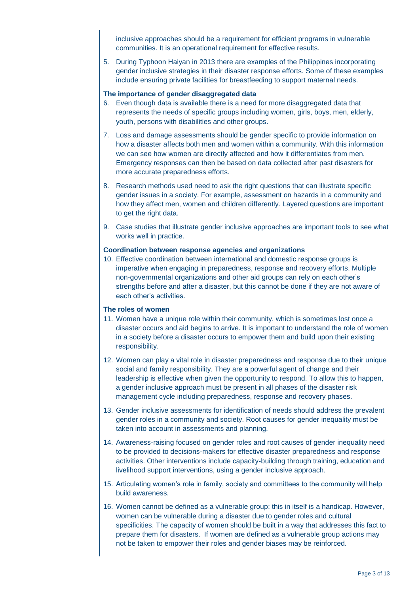inclusive approaches should be a requirement for efficient programs in vulnerable communities. It is an operational requirement for effective results.

5. During Typhoon Haiyan in 2013 there are examples of the Philippines incorporating gender inclusive strategies in their disaster response efforts. Some of these examples include ensuring private facilities for breastfeeding to support maternal needs.

## **The importance of gender disaggregated data**

- 6. Even though data is available there is a need for more disaggregated data that represents the needs of specific groups including women, girls, boys, men, elderly, youth, persons with disabilities and other groups.
- 7. Loss and damage assessments should be gender specific to provide information on how a disaster affects both men and women within a community. With this information we can see how women are directly affected and how it differentiates from men. Emergency responses can then be based on data collected after past disasters for more accurate preparedness efforts.
- 8. Research methods used need to ask the right questions that can illustrate specific gender issues in a society. For example, assessment on hazards in a community and how they affect men, women and children differently. Layered questions are important to get the right data.
- 9. Case studies that illustrate gender inclusive approaches are important tools to see what works well in practice.

## **Coordination between response agencies and organizations**

10. Effective coordination between international and domestic response groups is imperative when engaging in preparedness, response and recovery efforts. Multiple non-governmental organizations and other aid groups can rely on each other's strengths before and after a disaster, but this cannot be done if they are not aware of each other's activities.

### **The roles of women**

- 11. Women have a unique role within their community, which is sometimes lost once a disaster occurs and aid begins to arrive. It is important to understand the role of women in a society before a disaster occurs to empower them and build upon their existing responsibility.
- 12. Women can play a vital role in disaster preparedness and response due to their unique social and family responsibility. They are a powerful agent of change and their leadership is effective when given the opportunity to respond. To allow this to happen, a gender inclusive approach must be present in all phases of the disaster risk management cycle including preparedness, response and recovery phases.
- 13. Gender inclusive assessments for identification of needs should address the prevalent gender roles in a community and society. Root causes for gender inequality must be taken into account in assessments and planning.
- 14. Awareness-raising focused on gender roles and root causes of gender inequality need to be provided to decisions-makers for effective disaster preparedness and response activities. Other interventions include capacity-building through training, education and livelihood support interventions, using a gender inclusive approach.
- 15. Articulating women's role in family, society and committees to the community will help build awareness.
- 16. Women cannot be defined as a vulnerable group; this in itself is a handicap. However, women can be vulnerable during a disaster due to gender roles and cultural specificities. The capacity of women should be built in a way that addresses this fact to prepare them for disasters. If women are defined as a vulnerable group actions may not be taken to empower their roles and gender biases may be reinforced.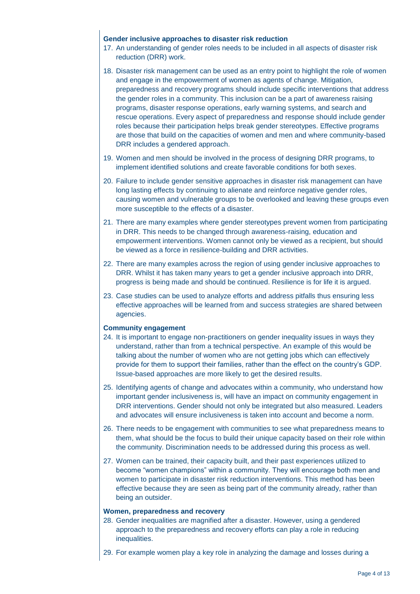# **Gender inclusive approaches to disaster risk reduction**

- 17. An understanding of gender roles needs to be included in all aspects of disaster risk reduction (DRR) work.
- 18. Disaster risk management can be used as an entry point to highlight the role of women and engage in the empowerment of women as agents of change. Mitigation, preparedness and recovery programs should include specific interventions that address the gender roles in a community. This inclusion can be a part of awareness raising programs, disaster response operations, early warning systems, and search and rescue operations. Every aspect of preparedness and response should include gender roles because their participation helps break gender stereotypes. Effective programs are those that build on the capacities of women and men and where community-based DRR includes a gendered approach.
- 19. Women and men should be involved in the process of designing DRR programs, to implement identified solutions and create favorable conditions for both sexes.
- 20. Failure to include gender sensitive approaches in disaster risk management can have long lasting effects by continuing to alienate and reinforce negative gender roles, causing women and vulnerable groups to be overlooked and leaving these groups even more susceptible to the effects of a disaster.
- 21. There are many examples where gender stereotypes prevent women from participating in DRR. This needs to be changed through awareness-raising, education and empowerment interventions. Women cannot only be viewed as a recipient, but should be viewed as a force in resilience-building and DRR activities.
- 22. There are many examples across the region of using gender inclusive approaches to DRR. Whilst it has taken many years to get a gender inclusive approach into DRR, progress is being made and should be continued. Resilience is for life it is argued.
- 23. Case studies can be used to analyze efforts and address pitfalls thus ensuring less effective approaches will be learned from and success strategies are shared between agencies.

# **Community engagement**

- 24. It is important to engage non-practitioners on gender inequality issues in ways they understand, rather than from a technical perspective. An example of this would be talking about the number of women who are not getting jobs which can effectively provide for them to support their families, rather than the effect on the country's GDP. Issue-based approaches are more likely to get the desired results.
- 25. Identifying agents of change and advocates within a community, who understand how important gender inclusiveness is, will have an impact on community engagement in DRR interventions. Gender should not only be integrated but also measured. Leaders and advocates will ensure inclusiveness is taken into account and become a norm.
- 26. There needs to be engagement with communities to see what preparedness means to them, what should be the focus to build their unique capacity based on their role within the community. Discrimination needs to be addressed during this process as well.
- 27. Women can be trained, their capacity built, and their past experiences utilized to become "women champions" within a community. They will encourage both men and women to participate in disaster risk reduction interventions. This method has been effective because they are seen as being part of the community already, rather than being an outsider.

#### **Women, preparedness and recovery**

- 28. Gender inequalities are magnified after a disaster. However, using a gendered approach to the preparedness and recovery efforts can play a role in reducing inequalities.
- 29. For example women play a key role in analyzing the damage and losses during a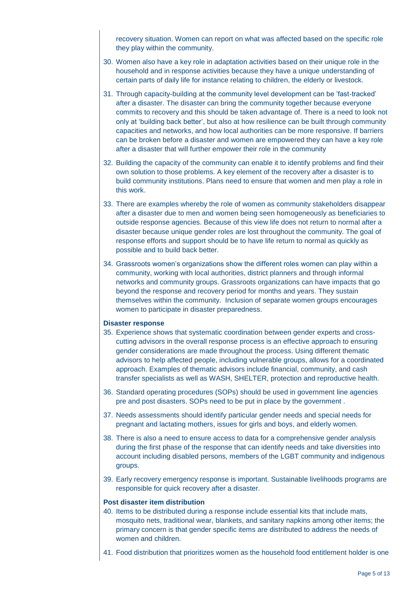recovery situation. Women can report on what was affected based on the specific role they play within the community.

- 30. Women also have a key role in adaptation activities based on their unique role in the household and in response activities because they have a unique understanding of certain parts of daily life for instance relating to children, the elderly or livestock.
- 31. Through capacity-building at the community level development can be 'fast-tracked' after a disaster. The disaster can bring the community together because everyone commits to recovery and this should be taken advantage of. There is a need to look not only at 'building back better', but also at how resilience can be built through community capacities and networks, and how local authorities can be more responsive. If barriers can be broken before a disaster and women are empowered they can have a key role after a disaster that will further empower their role in the community
- 32. Building the capacity of the community can enable it to identify problems and find their own solution to those problems. A key element of the recovery after a disaster is to build community institutions. Plans need to ensure that women and men play a role in this work.
- 33. There are examples whereby the role of women as community stakeholders disappear after a disaster due to men and women being seen homogeneously as beneficiaries to outside response agencies. Because of this view life does not return to normal after a disaster because unique gender roles are lost throughout the community. The goal of response efforts and support should be to have life return to normal as quickly as possible and to build back better.
- 34. Grassroots women's organizations show the different roles women can play within a community, working with local authorities, district planners and through informal networks and community groups. Grassroots organizations can have impacts that go beyond the response and recovery period for months and years. They sustain themselves within the community. Inclusion of separate women groups encourages women to participate in disaster preparedness.

## **Disaster response**

- 35. Experience shows that systematic coordination between gender experts and crosscutting advisors in the overall response process is an effective approach to ensuring gender considerations are made throughout the process. Using different thematic advisors to help affected people, including vulnerable groups, allows for a coordinated approach. Examples of thematic advisors include financial, community, and cash transfer specialists as well as WASH, SHELTER, protection and reproductive health.
- 36. Standard operating procedures (SOPs) should be used in government line agencies pre and post disasters. SOPs need to be put in place by the government .
- 37. Needs assessments should identify particular gender needs and special needs for pregnant and lactating mothers, issues for girls and boys, and elderly women.
- 38. There is also a need to ensure access to data for a comprehensive gender analysis during the first phase of the response that can identify needs and take diversities into account including disabled persons, members of the LGBT community and indigenous groups.
- 39. Early recovery emergency response is important. Sustainable livelihoods programs are responsible for quick recovery after a disaster.

#### **Post disaster item distribution**

- 40. Items to be distributed during a response include essential kits that include mats, mosquito nets, traditional wear, blankets, and sanitary napkins among other items; the primary concern is that gender specific items are distributed to address the needs of women and children.
- 41. Food distribution that prioritizes women as the household food entitlement holder is one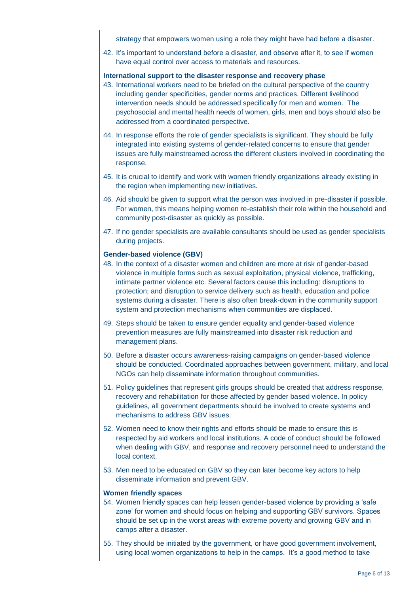strategy that empowers women using a role they might have had before a disaster.

42. It's important to understand before a disaster, and observe after it, to see if women have equal control over access to materials and resources.

# **International support to the disaster response and recovery phase**

- 43. International workers need to be briefed on the cultural perspective of the country including gender specificities, gender norms and practices. Different livelihood intervention needs should be addressed specifically for men and women. The psychosocial and mental health needs of women, girls, men and boys should also be addressed from a coordinated perspective.
- 44. In response efforts the role of gender specialists is significant. They should be fully integrated into existing systems of gender-related concerns to ensure that gender issues are fully mainstreamed across the different clusters involved in coordinating the response.
- 45. It is crucial to identify and work with women friendly organizations already existing in the region when implementing new initiatives.
- 46. Aid should be given to support what the person was involved in pre-disaster if possible. For women, this means helping women re-establish their role within the household and community post-disaster as quickly as possible.
- 47. If no gender specialists are available consultants should be used as gender specialists during projects.

# **Gender-based violence (GBV)**

- 48. In the context of a disaster women and children are more at risk of gender-based violence in multiple forms such as sexual exploitation, physical violence, trafficking, intimate partner violence etc. Several factors cause this including: disruptions to protection; and disruption to service delivery such as health, education and police systems during a disaster. There is also often break-down in the community support system and protection mechanisms when communities are displaced.
- 49. Steps should be taken to ensure gender equality and gender-based violence prevention measures are fully mainstreamed into disaster risk reduction and management plans.
- 50. Before a disaster occurs awareness-raising campaigns on gender-based violence should be conducted. Coordinated approaches between government, military, and local NGOs can help disseminate information throughout communities.
- 51. Policy guidelines that represent girls groups should be created that address response, recovery and rehabilitation for those affected by gender based violence. In policy guidelines, all government departments should be involved to create systems and mechanisms to address GBV issues.
- 52. Women need to know their rights and efforts should be made to ensure this is respected by aid workers and local institutions. A code of conduct should be followed when dealing with GBV, and response and recovery personnel need to understand the local context.
- 53. Men need to be educated on GBV so they can later become key actors to help disseminate information and prevent GBV.

### **Women friendly spaces**

- 54. Women friendly spaces can help lessen gender-based violence by providing a 'safe zone' for women and should focus on helping and supporting GBV survivors. Spaces should be set up in the worst areas with extreme poverty and growing GBV and in camps after a disaster.
- 55. They should be initiated by the government, or have good government involvement, using local women organizations to help in the camps. It's a good method to take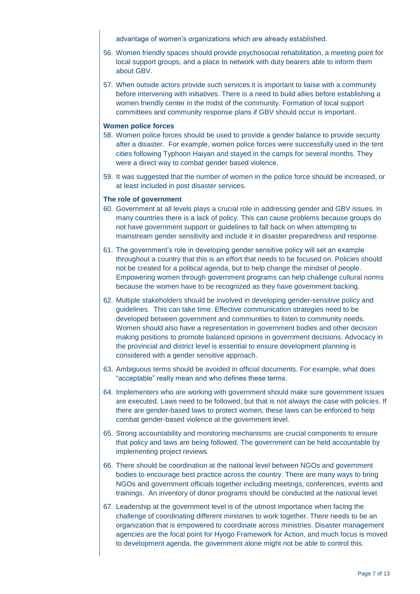advantage of women's organizations which are already established.

- 56. Women friendly spaces should provide psychosocial rehabilitation, a meeting point for local support groups, and a place to network with duty bearers able to inform them about GBV.
- 57. When outside actors provide such services it is important to liaise with a community before intervening with initiatives. There is a need to build allies before establishing a women friendly center in the midst of the community. Formation of local support committees and community response plans if GBV should occur is important.

### **Women police forces**

- 58. Women police forces should be used to provide a gender balance to provide security after a disaster. For example, women police forces were successfully used in the tent cities following Typhoon Haiyan and stayed in the camps for several months. They were a direct way to combat gender based violence.
- 59. It was suggested that the number of women in the police force should be increased, or at least included in post disaster services.

## **The role of government**

- 60. Government at all levels plays a crucial role in addressing gender and GBV issues. In many countries there is a lack of policy. This can cause problems because groups do not have government support or guidelines to fall back on when attempting to mainstream gender sensitivity and include it in disaster preparedness and response.
- 61. The government's role in developing gender sensitive policy will set an example throughout a country that this is an effort that needs to be focused on. Policies should not be created for a political agenda, but to help change the mindset of people. Empowering women through government programs can help challenge cultural norms because the women have to be recognized as they have government backing.
- 62. Multiple stakeholders should be involved in developing gender-sensitive policy and guidelines. This can take time. Effective communication strategies need to be developed between government and communities to listen to community needs. Women should also have a representation in government bodies and other decision making positions to promote balanced opinions in government decisions. Advocacy in the provincial and district level is essential to ensure development planning is considered with a gender sensitive approach.
- 63. Ambiguous terms should be avoided in official documents. For example, what does "acceptable" really mean and who defines these terms.
- 64. Implementers who are working with government should make sure government issues are executed. Laws need to be followed, but that is not always the case with policies. If there are gender-based laws to protect women, these laws can be enforced to help combat gender-based violence at the government level.
- 65. Strong accountability and monitoring mechanisms are crucial components to ensure that policy and laws are being followed. The government can be held accountable by implementing project reviews.
- 66. There should be coordination at the national level between NGOs and government bodies to encourage best practice across the country. There are many ways to bring NGOs and government officials together including meetings, conferences, events and trainings. An inventory of donor programs should be conducted at the national level.
- 67. Leadership at the government level is of the utmost importance when facing the challenge of coordinating different ministries to work together. There needs to be an organization that is empowered to coordinate across ministries. Disaster management agencies are the focal point for Hyogo Framework for Action, and much focus is moved to development agenda, the government alone might not be able to control this.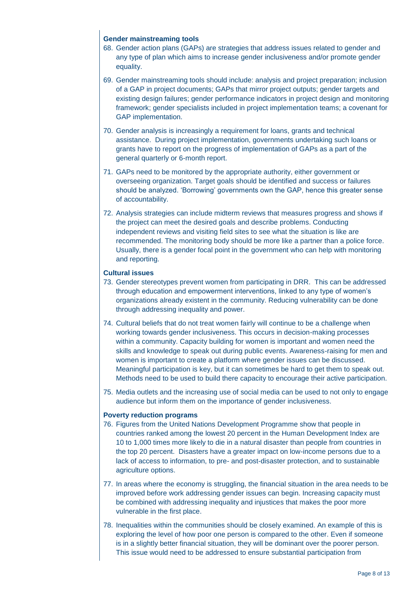# **Gender mainstreaming tools**

- 68. Gender action plans (GAPs) are strategies that address issues related to gender and any type of plan which aims to increase gender inclusiveness and/or promote gender equality.
- 69. Gender mainstreaming tools should include: analysis and project preparation; inclusion of a GAP in project documents; GAPs that mirror project outputs; gender targets and existing design failures; gender performance indicators in project design and monitoring framework; gender specialists included in project implementation teams; a covenant for GAP implementation.
- 70. Gender analysis is increasingly a requirement for loans, grants and technical assistance. During project implementation, governments undertaking such loans or grants have to report on the progress of implementation of GAPs as a part of the general quarterly or 6-month report.
- 71. GAPs need to be monitored by the appropriate authority, either government or overseeing organization. Target goals should be identified and success or failures should be analyzed. 'Borrowing' governments own the GAP, hence this greater sense of accountability.
- 72. Analysis strategies can include midterm reviews that measures progress and shows if the project can meet the desired goals and describe problems. Conducting independent reviews and visiting field sites to see what the situation is like are recommended. The monitoring body should be more like a partner than a police force. Usually, there is a gender focal point in the government who can help with monitoring and reporting.

# **Cultural issues**

- 73. Gender stereotypes prevent women from participating in DRR. This can be addressed through education and empowerment interventions, linked to any type of women's organizations already existent in the community. Reducing vulnerability can be done through addressing inequality and power.
- 74. Cultural beliefs that do not treat women fairly will continue to be a challenge when working towards gender inclusiveness. This occurs in decision-making processes within a community. Capacity building for women is important and women need the skills and knowledge to speak out during public events. Awareness-raising for men and women is important to create a platform where gender issues can be discussed. Meaningful participation is key, but it can sometimes be hard to get them to speak out. Methods need to be used to build there capacity to encourage their active participation.
- 75. Media outlets and the increasing use of social media can be used to not only to engage audience but inform them on the importance of gender inclusiveness.

# **Poverty reduction programs**

- 76. Figures from the United Nations Development Programme show that people in countries ranked among the lowest 20 percent in the Human Development Index are 10 to 1,000 times more likely to die in a natural disaster than people from countries in the top 20 percent. Disasters have a greater impact on low-income persons due to a lack of access to information, to pre- and post-disaster protection, and to sustainable agriculture options.
- 77. In areas where the economy is struggling, the financial situation in the area needs to be improved before work addressing gender issues can begin. Increasing capacity must be combined with addressing inequality and injustices that makes the poor more vulnerable in the first place.
- 78. Inequalities within the communities should be closely examined. An example of this is exploring the level of how poor one person is compared to the other. Even if someone is in a slightly better financial situation, they will be dominant over the poorer person. This issue would need to be addressed to ensure substantial participation from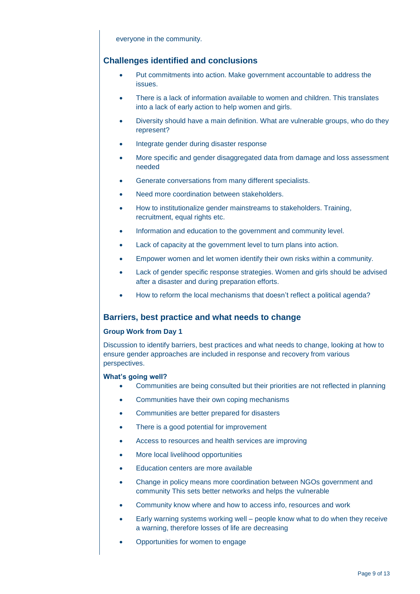everyone in the community.

# **Challenges identified and conclusions**

- Put commitments into action. Make government accountable to address the issues.
- There is a lack of information available to women and children. This translates into a lack of early action to help women and girls.
- Diversity should have a main definition. What are vulnerable groups, who do they represent?
- Integrate gender during disaster response
- More specific and gender disaggregated data from damage and loss assessment needed
- Generate conversations from many different specialists.
- Need more coordination between stakeholders.
- How to institutionalize gender mainstreams to stakeholders. Training, recruitment, equal rights etc.
- Information and education to the government and community level.
- Lack of capacity at the government level to turn plans into action.
- Empower women and let women identify their own risks within a community.
- Lack of gender specific response strategies. Women and girls should be advised after a disaster and during preparation efforts.
- How to reform the local mechanisms that doesn't reflect a political agenda?

# **Barriers, best practice and what needs to change**

# **Group Work from Day 1**

Discussion to identify barriers, best practices and what needs to change, looking at how to ensure gender approaches are included in response and recovery from various perspectives.

### **What's going well?**

- Communities are being consulted but their priorities are not reflected in planning
- Communities have their own coping mechanisms
- Communities are better prepared for disasters
- There is a good potential for improvement
- Access to resources and health services are improving
- More local livelihood opportunities
- Education centers are more available
- Change in policy means more coordination between NGOs government and community This sets better networks and helps the vulnerable
- Community know where and how to access info, resources and work
- Early warning systems working well people know what to do when they receive a warning, therefore losses of life are decreasing
- Opportunities for women to engage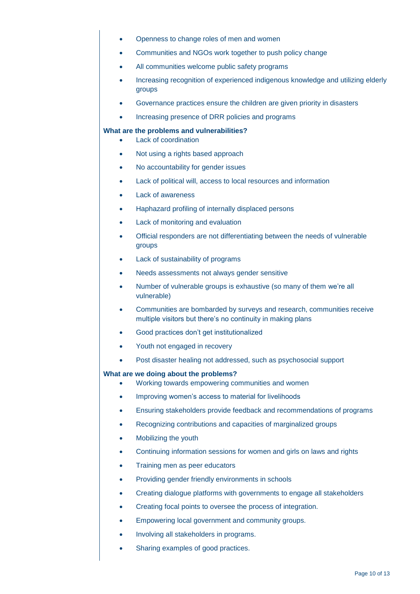- Openness to change roles of men and women
- Communities and NGOs work together to push policy change
- All communities welcome public safety programs
- Increasing recognition of experienced indigenous knowledge and utilizing elderly groups
- Governance practices ensure the children are given priority in disasters
- Increasing presence of DRR policies and programs

## **What are the problems and vulnerabilities?**

- Lack of coordination
- Not using a rights based approach
- No accountability for gender issues
- Lack of political will, access to local resources and information
- Lack of awareness
- Haphazard profiling of internally displaced persons
- Lack of monitoring and evaluation
- Official responders are not differentiating between the needs of vulnerable **groups**
- Lack of sustainability of programs
- Needs assessments not always gender sensitive
- Number of vulnerable groups is exhaustive (so many of them we're all vulnerable)
- Communities are bombarded by surveys and research, communities receive multiple visitors but there's no continuity in making plans
- Good practices don't get institutionalized
- Youth not engaged in recovery
- Post disaster healing not addressed, such as psychosocial support

### **What are we doing about the problems?**

- Working towards empowering communities and women
- Improving women's access to material for livelihoods
- Ensuring stakeholders provide feedback and recommendations of programs
- Recognizing contributions and capacities of marginalized groups
- Mobilizing the youth
- Continuing information sessions for women and girls on laws and rights
- Training men as peer educators
- Providing gender friendly environments in schools
- Creating dialogue platforms with governments to engage all stakeholders
- Creating focal points to oversee the process of integration.
- Empowering local government and community groups.
- Involving all stakeholders in programs.
- Sharing examples of good practices.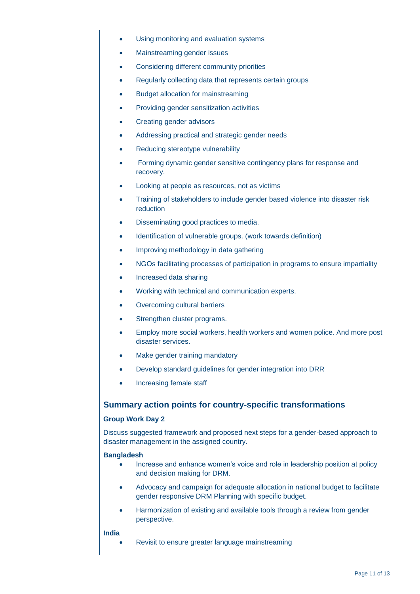- Using monitoring and evaluation systems
- Mainstreaming gender issues
- Considering different community priorities
- Regularly collecting data that represents certain groups
- Budget allocation for mainstreaming
- Providing gender sensitization activities
- Creating gender advisors
- Addressing practical and strategic gender needs
- Reducing stereotype vulnerability
- Forming dynamic gender sensitive contingency plans for response and recovery.
- Looking at people as resources, not as victims
- Training of stakeholders to include gender based violence into disaster risk reduction
- Disseminating good practices to media.
- Identification of vulnerable groups. (work towards definition)
- Improving methodology in data gathering
- NGOs facilitating processes of participation in programs to ensure impartiality
- Increased data sharing
- Working with technical and communication experts.
- Overcoming cultural barriers
- Strengthen cluster programs.
- Employ more social workers, health workers and women police. And more post disaster services.
- Make gender training mandatory
- Develop standard guidelines for gender integration into DRR
- Increasing female staff

# **Summary action points for country-specific transformations**

## **Group Work Day 2**

Discuss suggested framework and proposed next steps for a gender-based approach to disaster management in the assigned country.

### **Bangladesh**

- Increase and enhance women's voice and role in leadership position at policy and decision making for DRM.
- Advocacy and campaign for adequate allocation in national budget to facilitate gender responsive DRM Planning with specific budget.
- Harmonization of existing and available tools through a review from gender perspective.

### **India**

Revisit to ensure greater language mainstreaming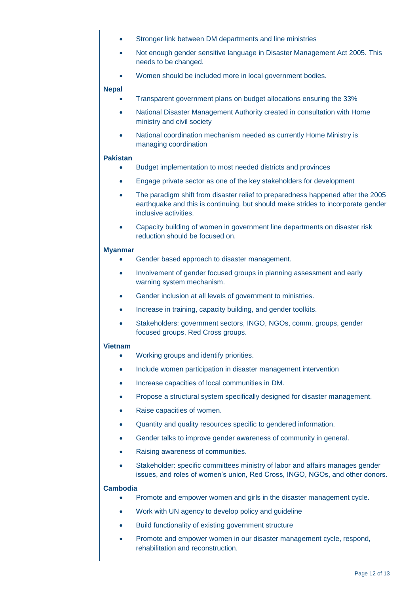- Stronger link between DM departments and line ministries
- Not enough gender sensitive language in Disaster Management Act 2005. This needs to be changed.
- Women should be included more in local government bodies.

### **Nepal**

- Transparent government plans on budget allocations ensuring the 33%
- National Disaster Management Authority created in consultation with Home ministry and civil society
- National coordination mechanism needed as currently Home Ministry is managing coordination

# **Pakistan**

- Budget implementation to most needed districts and provinces
- **Engage private sector as one of the key stakeholders for development**
- The paradigm shift from disaster relief to preparedness happened after the 2005 earthquake and this is continuing, but should make strides to incorporate gender inclusive activities.
- Capacity building of women in government line departments on disaster risk reduction should be focused on.

### **Myanmar**

- Gender based approach to disaster management.
- Involvement of gender focused groups in planning assessment and early warning system mechanism.
- Gender inclusion at all levels of government to ministries.
- Increase in training, capacity building, and gender toolkits.
- Stakeholders: government sectors, INGO, NGOs, comm. groups, gender focused groups, Red Cross groups.

### **Vietnam**

- Working groups and identify priorities.
- Include women participation in disaster management intervention
- Increase capacities of local communities in DM.
- Propose a structural system specifically designed for disaster management.
- Raise capacities of women.
- Quantity and quality resources specific to gendered information.
- Gender talks to improve gender awareness of community in general.
- Raising awareness of communities.
- Stakeholder: specific committees ministry of labor and affairs manages gender issues, and roles of women's union, Red Cross, INGO, NGOs, and other donors.

### **Cambodia**

- Promote and empower women and girls in the disaster management cycle.
- Work with UN agency to develop policy and guideline
- Build functionality of existing government structure
- Promote and empower women in our disaster management cycle, respond, rehabilitation and reconstruction.